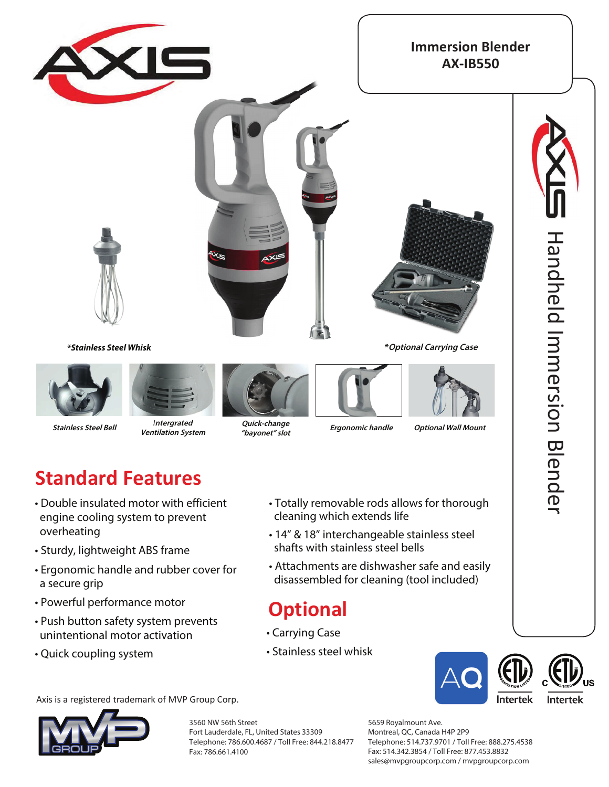

## **Standard Features**

- Double insulated motor with efficient engine cooling system to prevent overheating
- Sturdy, lightweight ABS frame
- Ergonomic handle and rubber cover for a secure grip
- Powerful performance motor
- Push button safety system prevents unintentional motor activation
- Quick coupling system
- Totally removable rods allows for thorough cleaning which extends life
- 14" interchangeable stainless steel shafts with stainless steel bells
- Attachments are dishwasher safe and easily disassembled for cleaning (tool included)

## **Optional**

- Carrying Case
- Stainless steel whisk



Axis is a registered trademark of MVP Group Corp.



3560 NW 56th Street Fort Lauderdale, FL, United States 33309 Telephone: 786.600.4687 / Toll Free: 844.218.8477 Fax: 786.661.4100

5659 Royalmount Ave. Montreal, QC, Canada H4P 2P9 Telephone: 514.737.9701 / Toll Free: 888.275.4538 Fax: 514.342.3854 / Toll Free: 877.453.8832 sales@mvpgroupcorp.com / mvpgroupcorp.com